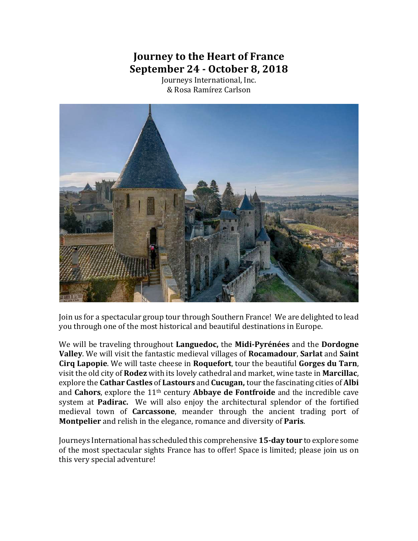# **Journey to the Heart of France September 24 - October 8, 2018**

Journeys International, Inc. & Rosa Ramírez Carlson



Join us for a spectacular group tour through Southern France! We are delighted to lead you through one of the most historical and beautiful destinations in Europe.

We will be traveling throughout Languedoc, the Midi-Pyrénées and the Dordogne **Valley**. We will visit the fantastic medieval villages of **Rocamadour**, Sarlat and Saint **Cirq Lapopie**. We will taste cheese in **Roquefort**, tour the beautiful **Gorges du Tarn**, visit the old city of **Rodez** with its lovely cathedral and market, wine taste in **Marcillac**, explore the **Cathar Castles** of Lastours and **Cucugan**, tour the fascinating cities of Albi and **Cahors**, explore the 11<sup>th</sup> century **Abbaye de Fontfroide** and the incredible cave system at **Padirac.** We will also enjoy the architectural splendor of the fortified medieval town of **Carcassone**, meander through the ancient trading port of **Montpelier** and relish in the elegance, romance and diversity of **Paris**.

Journeys International has scheduled this comprehensive **15-day tour** to explore some of the most spectacular sights France has to offer! Space is limited; please join us on this very special adventure!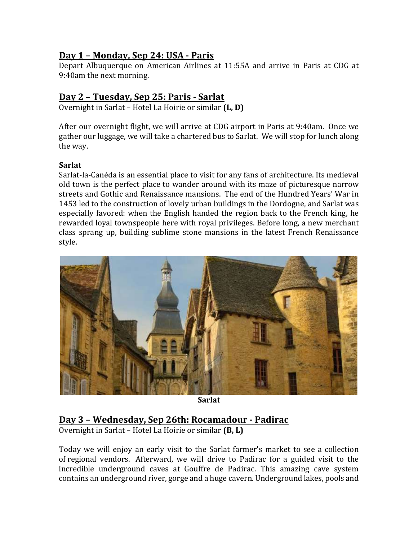# **Day 1 – Monday, Sep 24: USA - Paris**

Depart Albuquerque on American Airlines at 11:55A and arrive in Paris at CDG at 9:40am the next morning.

# **Day 2 – Tuesday, Sep 25: Paris - Sarlat**

Overnight in Sarlat – Hotel La Hoirie or similar (L, D)

After our overnight flight, we will arrive at CDG airport in Paris at 9:40am. Once we gather our luggage, we will take a chartered bus to Sarlat. We will stop for lunch along the way.

## **Sarlat**

Sarlat-la-Canéda is an essential place to visit for any fans of architecture. Its medieval old town is the perfect place to wander around with its maze of picturesque narrow streets and Gothic and Renaissance mansions. The end of the Hundred Years' War in 1453 led to the construction of lovely urban buildings in the Dordogne, and Sarlat was especially favored: when the English handed the region back to the French king, he rewarded loyal townspeople here with royal privileges. Before long, a new merchant class sprang up, building sublime stone mansions in the latest French Renaissance style.



**Sarlat**

# **Day 3 – Wednesday, Sep 26th: Rocamadour - Padirac**

Overnight in Sarlat – Hotel La Hoirie or similar **(B, L)** 

Today we will enjoy an early visit to the Sarlat farmer's market to see a collection of regional vendors. Afterward, we will drive to Padirac for a guided visit to the incredible underground caves at Gouffre de Padirac. This amazing cave system contains an underground river, gorge and a huge cavern. Underground lakes, pools and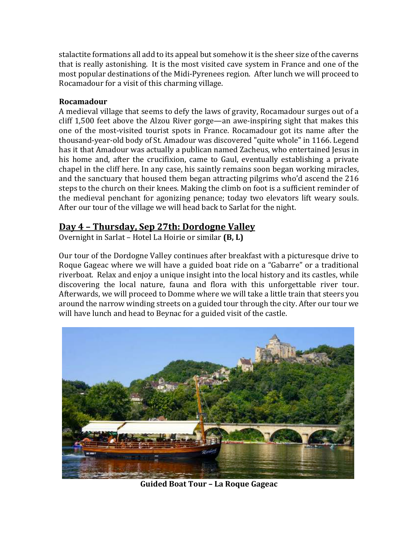stalactite formations all add to its appeal but somehow it is the sheer size of the caverns that is really astonishing. It is the most visited cave system in France and one of the most popular destinations of the Midi-Pyrenees region. After lunch we will proceed to Rocamadour for a visit of this charming village.

#### **Rocamadour**

A medieval village that seems to defy the laws of gravity, Rocamadour surges out of a cliff  $1,500$  feet above the Alzou River gorge—an awe-inspiring sight that makes this one of the most-visited tourist spots in France. Rocamadour got its name after the thousand-year-old body of St. Amadour was discovered "quite whole" in 1166. Legend has it that Amadour was actually a publican named Zacheus, who entertained Jesus in his home and, after the crucifixion, came to Gaul, eventually establishing a private chapel in the cliff here. In any case, his saintly remains soon began working miracles, and the sanctuary that housed them began attracting pilgrims who'd ascend the 216 steps to the church on their knees. Making the climb on foot is a sufficient reminder of the medieval penchant for agonizing penance; today two elevators lift weary souls. After our tour of the village we will head back to Sarlat for the night.

# **Day 4 – Thursday, Sep 27th: Dordogne Valley**

Overnight in Sarlat – Hotel La Hoirie or similar **(B, L)** 

Our tour of the Dordogne Valley continues after breakfast with a picturesque drive to Roque Gageac where we will have a guided boat ride on a "Gabarre" or a traditional riverboat. Relax and enjoy a unique insight into the local history and its castles, while discovering the local nature, fauna and flora with this unforgettable river tour. Afterwards, we will proceed to Domme where we will take a little train that steers you around the narrow winding streets on a guided tour through the city. After our tour we will have lunch and head to Beynac for a guided visit of the castle.



**Guided Boat Tour – La Roque Gageac**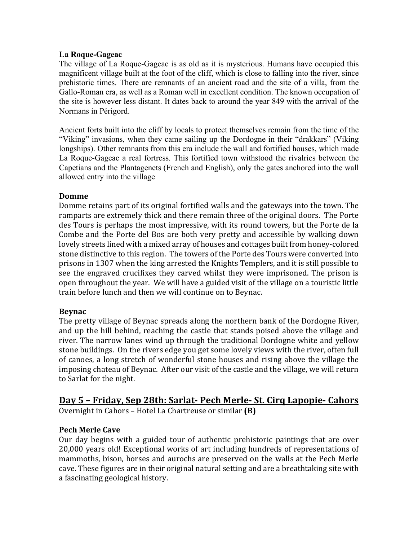#### **La Roque-Gageac**

The village of La Roque-Gageac is as old as it is mysterious. Humans have occupied this magnificent village built at the foot of the cliff, which is close to falling into the river, since prehistoric times. There are remnants of an ancient road and the site of a villa, from the Gallo-Roman era, as well as a Roman well in excellent condition. The known occupation of the site is however less distant. It dates back to around the year 849 with the arrival of the Normans in Périgord.

Ancient forts built into the cliff by locals to protect themselves remain from the time of the "Viking" invasions, when they came sailing up the Dordogne in their "drakkars" (Viking longships). Other remnants from this era include the wall and fortified houses, which made La Roque-Gageac a real fortress. This fortified town withstood the rivalries between the Capetians and the Plantagenets (French and English), only the gates anchored into the wall allowed entry into the village

#### **Domme**

Domme retains part of its original fortified walls and the gateways into the town. The ramparts are extremely thick and there remain three of the original doors. The Porte des Tours is perhaps the most impressive, with its round towers, but the Porte de la Combe and the Porte del Bos are both very pretty and accessible by walking down lovely streets lined with a mixed array of houses and cottages built from honey-colored stone distinctive to this region. The towers of the Porte des Tours were converted into prisons in 1307 when the king arrested the Knights Templers, and it is still possible to see the engraved crucifixes they carved whilst they were imprisoned. The prison is open throughout the year. We will have a guided visit of the village on a touristic little train before lunch and then we will continue on to Beynac.

## **Beynac**

The pretty village of Beynac spreads along the northern bank of the Dordogne River, and up the hill behind, reaching the castle that stands poised above the village and river. The narrow lanes wind up through the traditional Dordogne white and yellow stone buildings. On the rivers edge you get some lovely views with the river, often full of canoes, a long stretch of wonderful stone houses and rising above the village the imposing chateau of Beynac. After our visit of the castle and the village, we will return to Sarlat for the night.

#### **Day 5 – Friday, Sep 28th: Sarlat- Pech Merle- St. Cirq Lapopie- Cahors** Overnight in Cahors – Hotel La Chartreuse or similar **(B)**

## **Pech Merle Cave**

Our day begins with a guided tour of authentic prehistoric paintings that are over 20,000 years old! Exceptional works of art including hundreds of representations of mammoths, bison, horses and aurochs are preserved on the walls at the Pech Merle cave. These figures are in their original natural setting and are a breathtaking site with a fascinating geological history.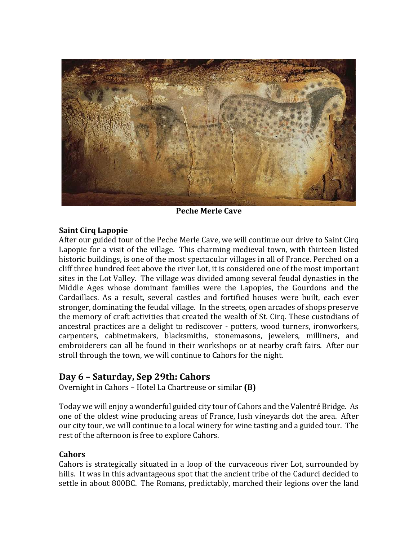

**Peche Merle Cave** 

## **Saint Cirq Lapopie**

After our guided tour of the Peche Merle Cave, we will continue our drive to Saint Cirq Lapopie for a visit of the village. This charming medieval town, with thirteen listed historic buildings, is one of the most spectacular villages in all of France. Perched on a cliff three hundred feet above the river Lot, it is considered one of the most important sites in the Lot Valley. The village was divided among several feudal dynasties in the Middle Ages whose dominant families were the Lapopies, the Gourdons and the Cardaillacs. As a result, several castles and fortified houses were built, each ever stronger, dominating the feudal village. In the streets, open arcades of shops preserve the memory of craft activities that created the wealth of St. Cirq. These custodians of ancestral practices are a delight to rediscover - potters, wood turners, ironworkers, carpenters, cabinetmakers, blacksmiths, stonemasons, jewelers, milliners, and embroiderers can all be found in their workshops or at nearby craft fairs. After our stroll through the town, we will continue to Cahors for the night.

# **Day 6 – Saturday, Sep 29th: Cahors**

Overnight in Cahors - Hotel La Chartreuse or similar **(B)** 

Today we will enjoy a wonderful guided city tour of Cahors and the Valentré Bridge. As one of the oldest wine producing areas of France, lush vineyards dot the area. After our city tour, we will continue to a local winery for wine tasting and a guided tour. The rest of the afternoon is free to explore Cahors.

## **Cahors**

Cahors is strategically situated in a loop of the curvaceous river Lot, surrounded by hills. It was in this advantageous spot that the ancient tribe of the Cadurci decided to settle in about 800BC. The Romans, predictably, marched their legions over the land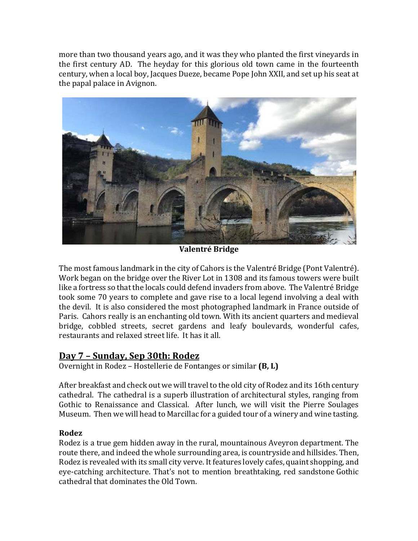more than two thousand years ago, and it was they who planted the first vineyards in the first century AD. The heyday for this glorious old town came in the fourteenth century, when a local boy, Jacques Dueze, became Pope John XXII, and set up his seat at the papal palace in Avignon.



**Valentré Bridge**

The most famous landmark in the city of Cahors is the Valentré Bridge (Pont Valentré). Work began on the bridge over the River Lot in 1308 and its famous towers were built like a fortress so that the locals could defend invaders from above. The Valentré Bridge took some 70 years to complete and gave rise to a local legend involving a deal with the devil. It is also considered the most photographed landmark in France outside of Paris. Cahors really is an enchanting old town. With its ancient quarters and medieval bridge, cobbled streets, secret gardens and leafy boulevards, wonderful cafes, restaurants and relaxed street life. It has it all.

# **Day 7 – Sunday, Sep 30th: Rodez**

**Overnight in Rodez – Hostellerie de Fontanges or similar (B, L)** 

After breakfast and check out we will travel to the old city of Rodez and its 16th century cathedral. The cathedral is a superb illustration of architectural styles, ranging from Gothic to Renaissance and Classical. After lunch, we will visit the Pierre Soulages Museum. Then we will head to Marcillac for a guided tour of a winery and wine tasting.

# **Rodez**

Rodez is a true gem hidden away in the rural, mountainous Aveyron department. The route there, and indeed the whole surrounding area, is countryside and hillsides. Then, Rodez is revealed with its small city verve. It features lovely cafes, quaint shopping, and eye-catching architecture. That's not to mention breathtaking, red sandstone Gothic cathedral that dominates the Old Town.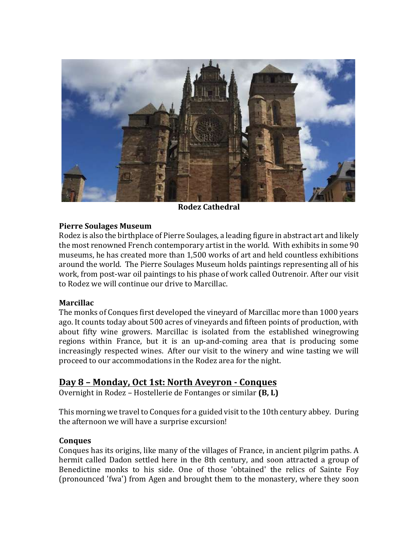

**Rodez Cathedral**

#### **Pierre Soulages Museum**

Rodez is also the birthplace of Pierre Soulages, a leading figure in abstract art and likely the most renowned French contemporary artist in the world. With exhibits in some 90 museums, he has created more than 1,500 works of art and held countless exhibitions around the world. The Pierre Soulages Museum holds paintings representing all of his work, from post-war oil paintings to his phase of work called Outrenoir. After our visit to Rodez we will continue our drive to Marcillac.

## **Marcillac**

The monks of Conques first developed the vineyard of Marcillac more than 1000 years ago. It counts today about 500 acres of vineyards and fifteen points of production, with about fifty wine growers. Marcillac is isolated from the established winegrowing regions within France, but it is an up-and-coming area that is producing some increasingly respected wines. After our visit to the winery and wine tasting we will proceed to our accommodations in the Rodez area for the night.

# **Day 8 – Monday, Oct 1st: North Aveyron - Conques**

Overnight in Rodez – Hostellerie de Fontanges or similar **(B, L)** 

This morning we travel to Conques for a guided visit to the 10th century abbey. During the afternoon we will have a surprise excursion!

## **Conques**

Conques has its origins, like many of the villages of France, in ancient pilgrim paths. A hermit called Dadon settled here in the 8th century, and soon attracted a group of Benedictine monks to his side. One of those 'obtained' the relics of Sainte Foy (pronounced 'fwa') from Agen and brought them to the monastery, where they soon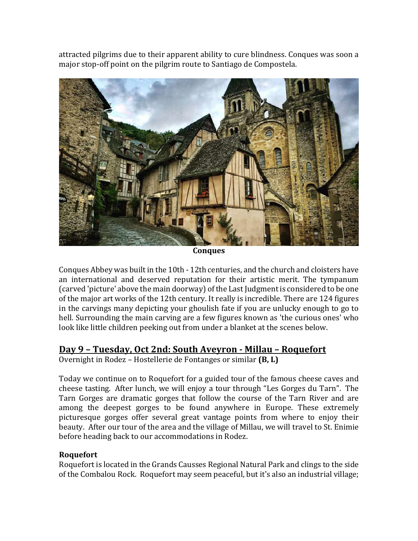attracted pilgrims due to their apparent ability to cure blindness. Conques was soon a major stop-off point on the pilgrim route to Santiago de Compostela.



**Conques**

Conques Abbey was built in the 10th - 12th centuries, and the church and cloisters have an international and deserved reputation for their artistic merit. The tympanum (carved 'picture' above the main doorway) of the Last Judgment is considered to be one of the major art works of the 12th century. It really is incredible. There are 124 figures in the carvings many depicting your ghoulish fate if you are unlucky enough to go to hell. Surrounding the main carving are a few figures known as 'the curious ones' who look like little children peeking out from under a blanket at the scenes below.

# **Day 9 – Tuesday, Oct 2nd: South Aveyron - Millau – Roquefort**

Overnight in Rodez - Hostellerie de Fontanges or similar (B, L)

Today we continue on to Roquefort for a guided tour of the famous cheese caves and cheese tasting. After lunch, we will enjoy a tour through "Les Gorges du Tarn". The Tarn Gorges are dramatic gorges that follow the course of the Tarn River and are among the deepest gorges to be found anywhere in Europe. These extremely picturesque gorges offer several great vantage points from where to enjoy their beauty. After our tour of the area and the village of Millau, we will travel to St. Enimie before heading back to our accommodations in Rodez.

# **Roquefort**

Roquefort is located in the Grands Causses Regional Natural Park and clings to the side of the Combalou Rock. Roquefort may seem peaceful, but it's also an industrial village;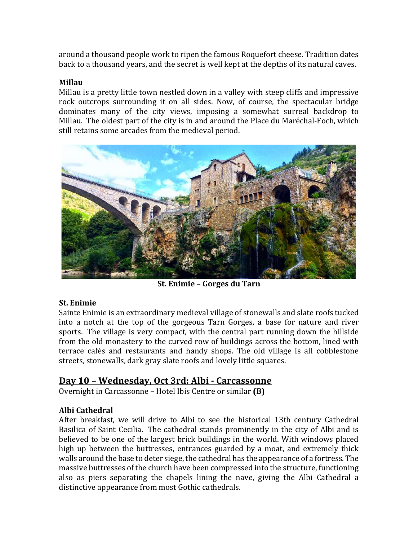around a thousand people work to ripen the famous Roquefort cheese. Tradition dates back to a thousand years, and the secret is well kept at the depths of its natural caves.

#### **Millau**

Millau is a pretty little town nestled down in a valley with steep cliffs and impressive rock outcrops surrounding it on all sides. Now, of course, the spectacular bridge dominates many of the city views, imposing a somewhat surreal backdrop to Millau. The oldest part of the city is in and around the Place du Maréchal-Foch, which still retains some arcades from the medieval period.



**St. Enimie – Gorges du Tarn**

## **St. Enimie**

Sainte Enimie is an extraordinary medieval village of stonewalls and slate roofs tucked into a notch at the top of the gorgeous Tarn Gorges, a base for nature and river sports. The village is very compact, with the central part running down the hillside from the old monastery to the curved row of buildings across the bottom, lined with terrace cafés and restaurants and handy shops. The old village is all cobblestone streets, stonewalls, dark gray slate roofs and lovely little squares.

# **Day 10 – Wednesday, Oct 3rd: Albi - Carcassonne**

Overnight in Carcassonne – Hotel Ibis Centre or similar **(B)** 

# **Albi Cathedral**

After breakfast, we will drive to Albi to see the historical 13th century Cathedral Basilica of Saint Cecilia. The cathedral stands prominently in the city of Albi and is believed to be one of the largest brick buildings in the world. With windows placed high up between the buttresses, entrances guarded by a moat, and extremely thick walls around the base to deter siege, the cathedral has the appearance of a fortress. The massive buttresses of the church have been compressed into the structure, functioning also as piers separating the chapels lining the nave, giving the Albi Cathedral a distinctive appearance from most Gothic cathedrals.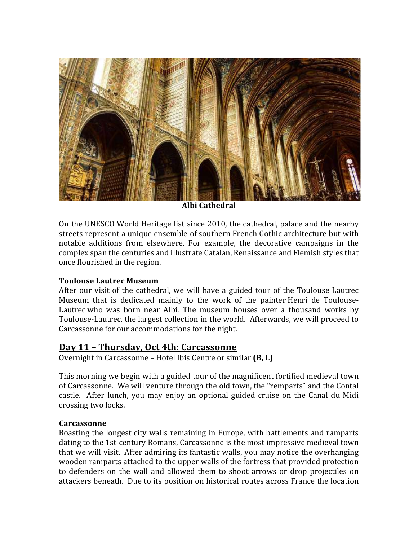

**Albi Cathedral**

On the UNESCO World Heritage list since 2010, the cathedral, palace and the nearby streets represent a unique ensemble of southern French Gothic architecture but with notable additions from elsewhere. For example, the decorative campaigns in the complex span the centuries and illustrate Catalan, Renaissance and Flemish styles that once flourished in the region.

## **Toulouse Lautrec Museum**

After our visit of the cathedral, we will have a guided tour of the Toulouse Lautrec Museum that is dedicated mainly to the work of the painter Henri de Toulouse-Lautrec who was born near Albi. The museum houses over a thousand works by Toulouse-Lautrec, the largest collection in the world. Afterwards, we will proceed to Carcassonne for our accommodations for the night.

# **Day 11 – Thursday, Oct 4th: Carcassonne**

Overnight in Carcassonne - Hotel Ibis Centre or similar (**B, L**)

This morning we begin with a guided tour of the magnificent fortified medieval town of Carcassonne. We will venture through the old town, the "remparts" and the Contal castle. After lunch, you may enjoy an optional guided cruise on the Canal du Midi crossing two locks.

## **Carcassonne**

Boasting the longest city walls remaining in Europe, with battlements and ramparts dating to the 1st-century Romans, Carcassonne is the most impressive medieval town that we will visit. After admiring its fantastic walls, you may notice the overhanging wooden ramparts attached to the upper walls of the fortress that provided protection to defenders on the wall and allowed them to shoot arrows or drop projectiles on attackers beneath. Due to its position on historical routes across France the location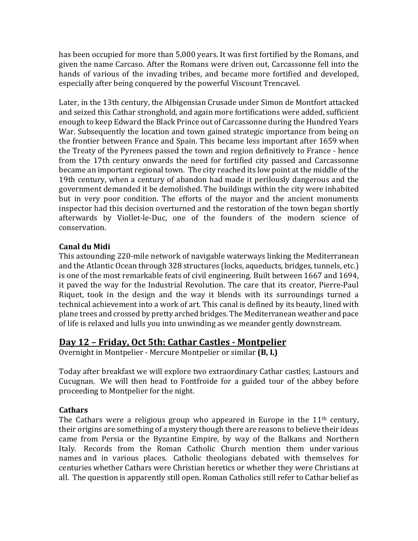has been occupied for more than 5,000 years. It was first fortified by the Romans, and given the name Carcaso. After the Romans were driven out, Carcassonne fell into the hands of various of the invading tribes, and became more fortified and developed, especially after being conquered by the powerful Viscount Trencavel.

Later, in the 13th century, the Albigensian Crusade under Simon de Montfort attacked and seized this Cathar stronghold, and again more fortifications were added, sufficient enough to keep Edward the Black Prince out of Carcassonne during the Hundred Years War. Subsequently the location and town gained strategic importance from being on the frontier between France and Spain. This became less important after 1659 when the Treaty of the Pyrenees passed the town and region definitively to France - hence from the 17th century onwards the need for fortified city passed and Carcassonne became an important regional town. The city reached its low point at the middle of the 19th century, when a century of abandon had made it perilously dangerous and the government demanded it be demolished. The buildings within the city were inhabited but in very poor condition. The efforts of the mayor and the ancient monuments inspector had this decision overturned and the restoration of the town began shortly afterwards by Viollet-le-Duc, one of the founders of the modern science of conservation.

## **Canal du Midi**

This astounding 220-mile network of navigable waterways linking the Mediterranean and the Atlantic Ocean through 328 structures (locks, aqueducts, bridges, tunnels, etc.) is one of the most remarkable feats of civil engineering. Built between 1667 and 1694, it paved the way for the Industrial Revolution. The care that its creator, Pierre-Paul Riquet, took in the design and the way it blends with its surroundings turned a technical achievement into a work of art. This canal is defined by its beauty, lined with plane trees and crossed by pretty arched bridges. The Mediterranean weather and pace of life is relaxed and lulls you into unwinding as we meander gently downstream.

# **Day 12 – Friday, Oct 5th: Cathar Castles - Montpelier**

Overnight in Montpelier - Mercure Montpelier or similar (B, L)

Today after breakfast we will explore two extraordinary Cathar castles; Lastours and Cucugnan. We will then head to Fontfroide for a guided tour of the abbey before proceeding to Montpelier for the night.

## **Cathars**

The Cathars were a religious group who appeared in Europe in the  $11<sup>th</sup>$  century, their origins are something of a mystery though there are reasons to believe their ideas came from Persia or the Byzantine Empire, by way of the Balkans and Northern Italy. Records from the Roman Catholic Church mention them under various names and in various places. Catholic theologians debated with themselves for centuries whether Cathars were Christian heretics or whether they were Christians at all. The question is apparently still open. Roman Catholics still refer to Cathar belief as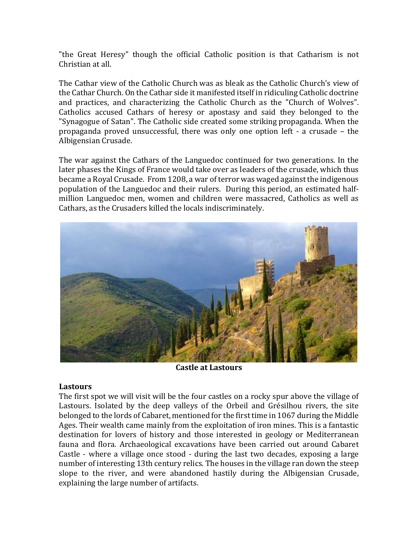"the Great Heresy" though the official Catholic position is that Catharism is not Christian at all.

The Cathar view of the Catholic Church was as bleak as the Catholic Church's view of the Cathar Church. On the Cathar side it manifested itself in ridiculing Catholic doctrine and practices, and characterizing the Catholic Church as the "Church of Wolves". Catholics accused Cathars of heresy or apostasy and said they belonged to the "Synagogue of Satan". The Catholic side created some striking propaganda. When the propaganda proved unsuccessful, there was only one option left - a crusade - the Albigensian Crusade.

The war against the Cathars of the Languedoc continued for two generations. In the later phases the Kings of France would take over as leaders of the crusade, which thus became a Royal Crusade. From 1208, a war of terror was waged against the indigenous population of the Languedoc and their rulers. During this period, an estimated halfmillion Languedoc men, women and children were massacred, Catholics as well as Cathars, as the Crusaders killed the locals indiscriminately.



**Castle at Lastours**

#### **Lastours**

The first spot we will visit will be the four castles on a rocky spur above the village of Lastours. Isolated by the deep valleys of the Orbeil and Grésilhou rivers, the site belonged to the lords of Cabaret, mentioned for the first time in 1067 during the Middle Ages. Their wealth came mainly from the exploitation of iron mines. This is a fantastic destination for lovers of history and those interested in geology or Mediterranean fauna and flora. Archaeological excavations have been carried out around Cabaret Castle - where a village once stood - during the last two decades, exposing a large number of interesting 13th century relics. The houses in the village ran down the steep slope to the river, and were abandoned hastily during the Albigensian Crusade, explaining the large number of artifacts.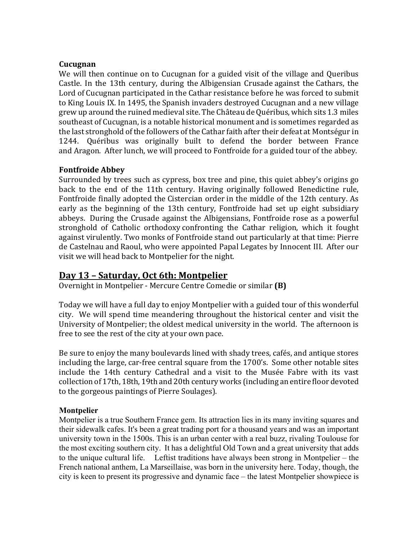#### **Cucugnan**

We will then continue on to Cucugnan for a guided visit of the village and Queribus Castle. In the 13th century, during the Albigensian Crusade against the Cathars, the Lord of Cucugnan participated in the Cathar resistance before he was forced to submit to King Louis IX. In 1495, the Spanish invaders destroyed Cucugnan and a new village grew up around the ruined medieval site. The Château de Quéribus, which sits 1.3 miles southeast of Cucugnan, is a notable historical monument and is sometimes regarded as the last stronghold of the followers of the Cathar faith after their defeat at Montségur in 1244. Quéribus was originally built to defend the border between France and Aragon. After lunch, we will proceed to Fontfroide for a guided tour of the abbey.

#### **Fontfroide Abbey**

Surrounded by trees such as cypress, box tree and pine, this quiet abbey's origins go back to the end of the 11th century. Having originally followed Benedictine rule, Fontfroide finally adopted the Cistercian order in the middle of the 12th century. As early as the beginning of the 13th century, Fontfroide had set up eight subsidiary abbeys. During the Crusade against the Albigensians, Fontfroide rose as a powerful stronghold of Catholic orthodoxy confronting the Cathar religion, which it fought against virulently. Two monks of Fontfroide stand out particularly at that time: Pierre de Castelnau and Raoul, who were appointed Papal Legates by Innocent III. After our visit we will head back to Montpelier for the night.

# **Day 13 – Saturday, Oct 6th: Montpelier**

Overnight in Montpelier - Mercure Centre Comedie or similar **(B)** 

Today we will have a full day to enjoy Montpelier with a guided tour of this wonderful city. We will spend time meandering throughout the historical center and visit the University of Montpelier; the oldest medical university in the world. The afternoon is free to see the rest of the city at your own pace.

Be sure to enjoy the many boulevards lined with shady trees, cafés, and antique stores including the large, car-free central square from the 1700's. Some other notable sites include the 14th century Cathedral and a visit to the Musée Fabre with its vast collection of 17th, 18th, 19th and 20th century works (including an entire floor devoted to the gorgeous paintings of Pierre Soulages).

## **Montpelier**

Montpelier is a true Southern France gem. Its attraction lies in its many inviting squares and their sidewalk cafes. It's been a great trading port for a thousand years and was an important university town in the 1500s. This is an urban center with a real buzz, rivaling Toulouse for the most exciting southern city. It has a delightful Old Town and a great university that adds to the unique cultural life. Leftist traditions have always been strong in Montpelier – the French national anthem, La Marseillaise, was born in the university here. Today, though, the city is keen to present its progressive and dynamic face – the latest Montpelier showpiece is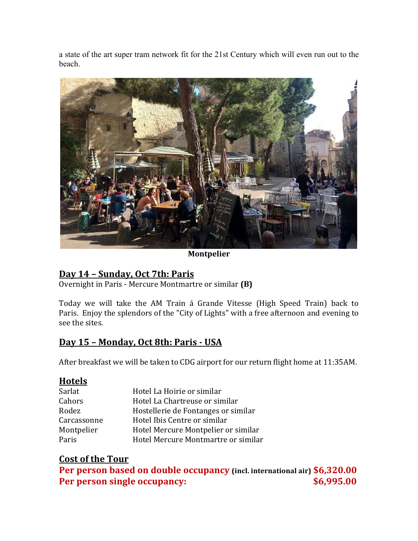a state of the art super tram network fit for the 21st Century which will even run out to the beach.



**Montpelier**

# **Day 14 – Sunday, Oct 7th: Paris**

Overnight in Paris - Mercure Montmartre or similar **(B)** 

Today we will take the AM Train á Grande Vitesse (High Speed Train) back to Paris. Enjoy the splendors of the "City of Lights" with a free afternoon and evening to see the sites.

# **Day 15 – Monday, Oct 8th: Paris - USA**

After breakfast we will be taken to CDG airport for our return flight home at 11:35AM.

# **Hotels**

| Hotel La Hoirie or similar          |
|-------------------------------------|
| Hotel La Chartreuse or similar      |
| Hostellerie de Fontanges or similar |
| Hotel Ibis Centre or similar        |
| Hotel Mercure Montpelier or similar |
| Hotel Mercure Montmartre or similar |
|                                     |

# **Cost of the Tour**

**Per person based on double occupancy (incl. international air) \$6,320.00 Per person single occupancy:**  $$6,995.00$